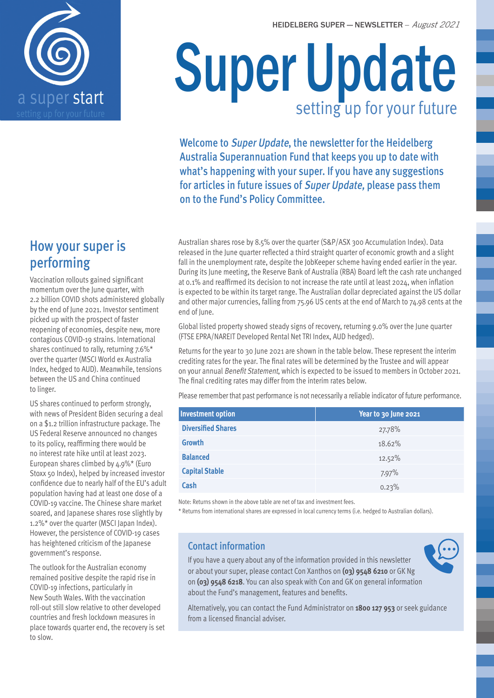



# Super Update setting up for your future

Welcome to Super Update, the newsletter for the Heidelberg Australia Superannuation Fund that keeps you up to date with what's happening with your super. If you have any suggestions for articles in future issues of Super Update, please pass them on to the Fund's Policy Committee.

# How your super is performing

Vaccination rollouts gained significant momentum over the June quarter, with 2.2 billion COVID shots administered globally by the end of June 2021. Investor sentiment picked up with the prospect of faster reopening of economies, despite new, more contagious COVID-19 strains. International shares continued to rally, returning 7.6%\* over the quarter (MSCI World ex Australia Index, hedged to AUD). Meanwhile, tensions between the US and China continued to linger.

US shares continued to perform strongly, with news of President Biden securing a deal on a \$1.2 trillion infrastructure package. The US Federal Reserve announced no changes to its policy, reaffirming there would be no interest rate hike until at least 2023. European shares climbed by 4.9%\* (Euro Stoxx 50 Index), helped by increased investor confidence due to nearly half of the EU's adult population having had at least one dose of a COVID-19 vaccine. The Chinese share market soared, and Japanese shares rose slightly by 1.2%\* over the quarter (MSCI Japan Index). However, the persistence of COVID-19 cases has heightened criticism of the Japanese government's response.

The outlook for the Australian economy remained positive despite the rapid rise in COVID-19 infections, particularly in New South Wales. With the vaccination roll-out still slow relative to other developed countries and fresh lockdown measures in place towards quarter end, the recovery is set to slow.

Australian shares rose by 8.5% over the quarter (S&P/ASX 300 Accumulation Index). Data released in the June quarter reflected a third straight quarter of economic growth and a slight fall in the unemployment rate, despite the JobKeeper scheme having ended earlier in the year. During its June meeting, the Reserve Bank of Australia (RBA) Board left the cash rate unchanged at 0.1% and reaffirmed its decision to not increase the rate until at least 2024, when inflation is expected to be within its target range. The Australian dollar depreciated against the US dollar and other major currencies, falling from 75.96 US cents at the end of March to 74.98 cents at the end of lune.

Global listed property showed steady signs of recovery, returning 9.0% over the June quarter (FTSE EPRA/NAREIT Developed Rental Net TRI Index, AUD hedged).

Returns for the year to 30 June 2021 are shown in the table below. These represent the interim crediting rates for the year. The final rates will be determined by the Trustee and will appear on your annual Benefit Statement, which is expected to be issued to members in October 2021. The final crediting rates may differ from the interim rates below.

Please remember that past performance is not necessarily a reliable indicator of future performance.

| <b>Investment option</b>  | Year to 30 June 2021 |
|---------------------------|----------------------|
| <b>Diversified Shares</b> | 27.78%               |
| <b>Growth</b>             | 18.62%               |
| <b>Balanced</b>           | 12.52%               |
| <b>Capital Stable</b>     | 7.97%                |
| Cash                      | 0.23%                |

Note: Returns shown in the above table are net of tax and investment fees.

\* Returns from international shares are expressed in local currency terms (i.e. hedged to Australian dollars).

#### Contact information

If you have a query about any of the information provided in this newsletter or about your super, please contact Con Xanthos on **(03) 9548 6210** or GK Ng on **(03) 9548 6218**. You can also speak with Con and GK on general information about the Fund's management, features and benefits.